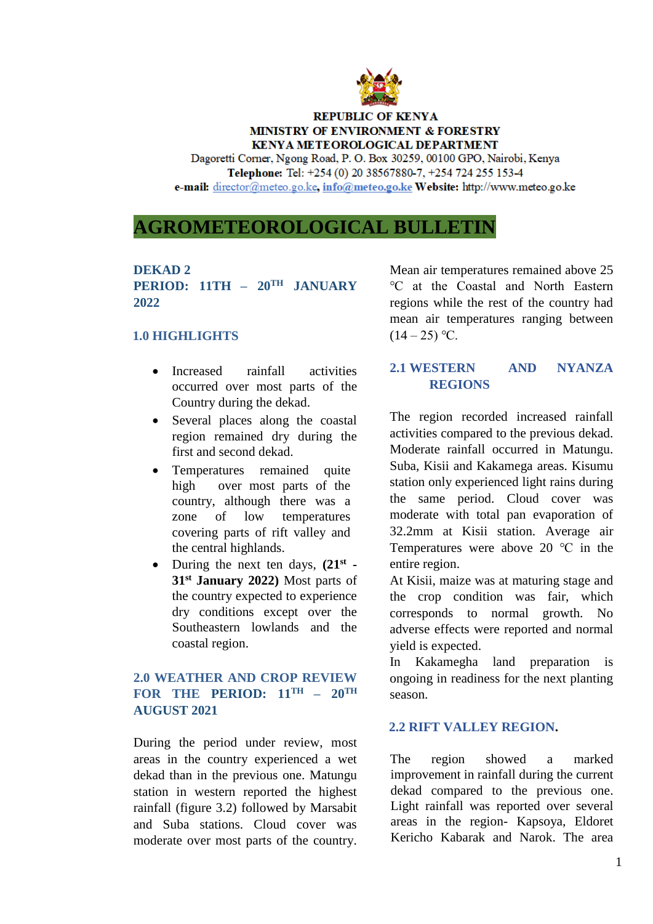

#### **REPUBLIC OF KENYA MINISTRY OF ENVIRONMENT & FORESTRY KENYA METEOROLOGICAL DEPARTMENT**

Dagoretti Corner, Ngong Road, P. O. Box 30259, 00100 GPO, Nairobi, Kenya Telephone: Tel: +254 (0) 20 38567880-7, +254 724 255 153-4 e-mail: director@meteo.go.ke, info@meteo.go.ke Website: http://www.meteo.go.ke

# **AGROMETEOROLOGICAL BULLETIN**

# **DEKAD 2**

**PERIOD: 11TH – 20 TH JANUARY 2022**

### **1.0 HIGHLIGHTS**

- Increased rainfall activities occurred over most parts of the Country during the dekad.
- Several places along the coastal region remained dry during the first and second dekad.
- Temperatures remained quite high over most parts of the country, although there was a zone of low temperatures covering parts of rift valley and the central highlands.
- During the next ten days, **(21st - 31st January 2022)** Most parts of the country expected to experience dry conditions except over the Southeastern lowlands and the coastal region.

# **2.0 WEATHER AND CROP REVIEW FOR THE PERIOD:**  $11^{\text{TH}}$  –  $20^{\text{TH}}$ **AUGUST 2021**

During the period under review, most areas in the country experienced a wet dekad than in the previous one. Matungu station in western reported the highest rainfall (figure 3.2) followed by Marsabit and Suba stations. Cloud cover was moderate over most parts of the country.

Mean air temperatures remained above 25 ℃ at the Coastal and North Eastern regions while the rest of the country had mean air temperatures ranging between  $(14 - 25)$  °C.

## **2.1 WESTERN AND NYANZA REGIONS**

The region recorded increased rainfall activities compared to the previous dekad. Moderate rainfall occurred in Matungu. Suba, Kisii and Kakamega areas. Kisumu station only experienced light rains during the same period. Cloud cover was moderate with total pan evaporation of 32.2mm at Kisii station. Average air Temperatures were above 20 ℃ in the entire region.

At Kisii, maize was at maturing stage and the crop condition was fair, which corresponds to normal growth. No adverse effects were reported and normal yield is expected.

In Kakamegha land preparation is ongoing in readiness for the next planting season.

### **2.2 RIFT VALLEY REGION.**

The region showed a marked improvement in rainfall during the current dekad compared to the previous one. Light rainfall was reported over several areas in the region- Kapsoya, Eldoret Kericho Kabarak and Narok. The area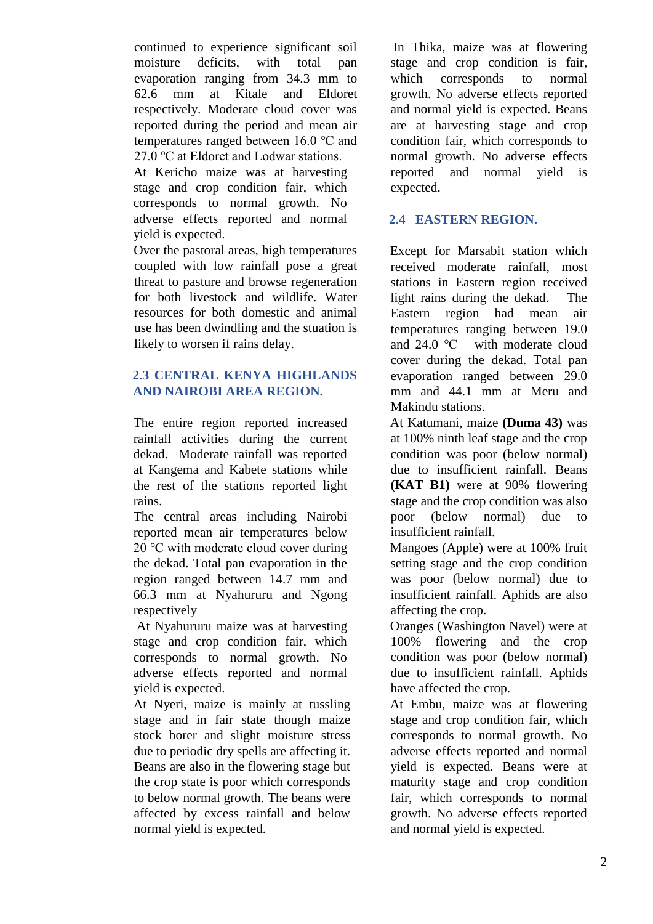continued to experience significant soil moisture deficits, with total pan evaporation ranging from 34.3 mm to 62.6 mm at Kitale and Eldoret respectively. Moderate cloud cover was reported during the period and mean air temperatures ranged between 16.0 ℃ and 27.0 °C at Eldoret and Lodwar stations.

At Kericho maize was at harvesting stage and crop condition fair, which corresponds to normal growth. No adverse effects reported and normal yield is expected.

Over the pastoral areas, high temperatures coupled with low rainfall pose a great threat to pasture and browse regeneration for both livestock and wildlife. Water resources for both domestic and animal use has been dwindling and the stuation is likely to worsen if rains delay.

# **2.3 CENTRAL KENYA HIGHLANDS AND NAIROBI AREA REGION.**

The entire region reported increased rainfall activities during the current dekad. Moderate rainfall was reported at Kangema and Kabete stations while the rest of the stations reported light rains.

The central areas including Nairobi reported mean air temperatures below  $20^{\circ}$ C with moderate cloud cover during the dekad. Total pan evaporation in the region ranged between 14.7 mm and 66.3 mm at Nyahururu and Ngong respectively

At Nyahururu maize was at harvesting stage and crop condition fair, which corresponds to normal growth. No adverse effects reported and normal yield is expected.

At Nyeri, maize is mainly at tussling stage and in fair state though maize stock borer and slight moisture stress due to periodic dry spells are affecting it. Beans are also in the flowering stage but the crop state is poor which corresponds to below normal growth. The beans were affected by excess rainfall and below normal yield is expected.

In Thika, maize was at flowering stage and crop condition is fair, which corresponds to normal growth. No adverse effects reported and normal yield is expected. Beans are at harvesting stage and crop condition fair, which corresponds to normal growth. No adverse effects reported and normal yield is expected.

# **2.4 EASTERN REGION.**

Except for Marsabit station which received moderate rainfall, most stations in Eastern region received light rains during the dekad. The Eastern region had mean air temperatures ranging between 19.0 and 24.0 ℃ with moderate cloud cover during the dekad. Total pan evaporation ranged between 29.0 mm and 44.1 mm at Meru and Makindu stations.

At Katumani, maize **(Duma 43)** was at 100% ninth leaf stage and the crop condition was poor (below normal) due to insufficient rainfall. Beans **(KAT B1)** were at 90% flowering stage and the crop condition was also poor (below normal) due to insufficient rainfall.

Mangoes (Apple) were at 100% fruit setting stage and the crop condition was poor (below normal) due to insufficient rainfall. Aphids are also affecting the crop.

Oranges (Washington Navel) were at 100% flowering and the crop condition was poor (below normal) due to insufficient rainfall. Aphids have affected the crop.

At Embu, maize was at flowering stage and crop condition fair, which corresponds to normal growth. No adverse effects reported and normal yield is expected. Beans were at maturity stage and crop condition fair, which corresponds to normal growth. No adverse effects reported and normal yield is expected.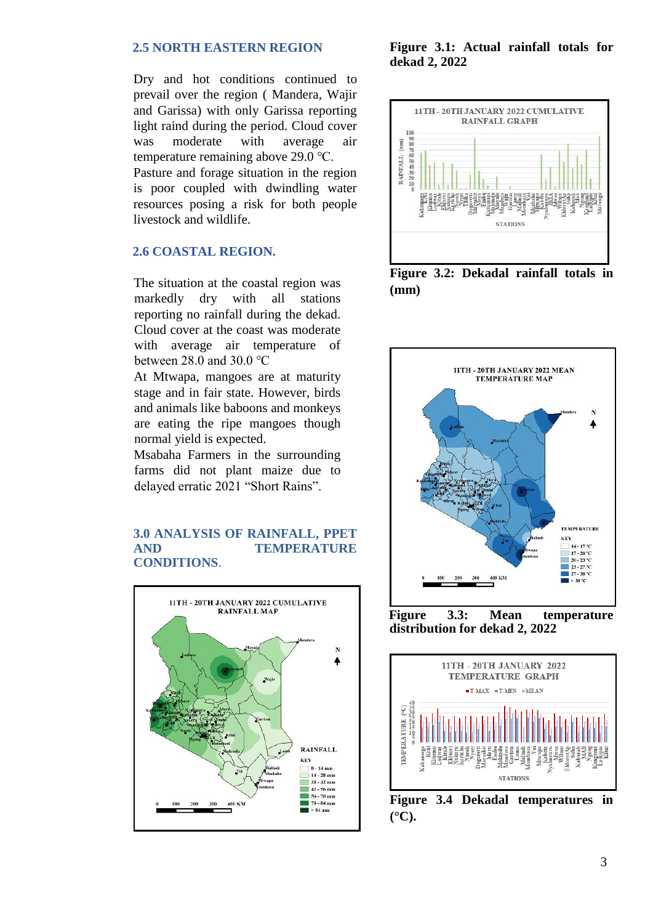#### **2.5 NORTH EASTERN REGION**

Dry and hot conditions continued to prevail over the region ( Mandera, Wajir and Garissa) with only Garissa reporting light raind during the period. Cloud cover was moderate with average air temperature remaining above 29.0 ℃.

Pasture and forage situation in the region is poor coupled with dwindling water resources posing a risk for both people livestock and wildlife.

### **2.6 COASTAL REGION.**

The situation at the coastal region was markedly dry with all stations reporting no rainfall during the dekad. Cloud cover at the coast was moderate with average air temperature of between 28.0 and 30.0 ℃

At Mtwapa, mangoes are at maturity stage and in fair state. However, birds and animals like baboons and monkeys are eating the ripe mangoes though normal yield is expected.

Msabaha Farmers in the surrounding farms did not plant maize due to delayed erratic 2021 "Short Rains".

#### **3.0 ANALYSIS OF RAINFALL, PPET AND TEMPERATURE CONDITIONS**.



**Figure 3.1: Actual rainfall totals for dekad 2, 2022**



**Figure 3.2: Dekadal rainfall totals in (mm)** 



**Figure 3.3: Mean temperature distribution for dekad 2, 2022**



**Figure 3.4 Dekadal temperatures in**   $(^{\circ}C)$ .